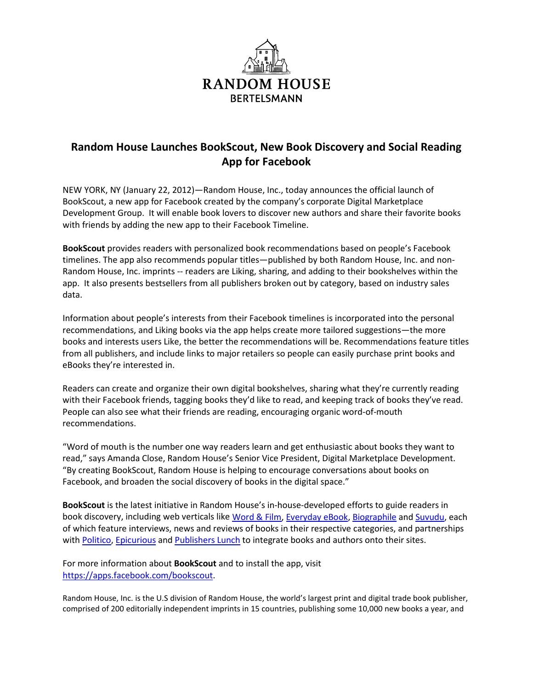

## **Random House Launches BookScout, New Book Discovery and Social Reading App for Facebook**

NEW YORK, NY (January 22, 2012)—Random House, Inc., today announces the official launch of BookScout, a new app for Facebook created by the company's corporate Digital Marketplace Development Group. It will enable book lovers to discover new authors and share their favorite books with friends by adding the new app to their Facebook Timeline.

**BookScout** provides readers with personalized book recommendations based on people's Facebook timelines. The app also recommends popular titles—published by both Random House, Inc. and non-Random House, Inc. imprints -- readers are Liking, sharing, and adding to their bookshelves within the app. It also presents bestsellers from all publishers broken out by category, based on industry sales data.

Information about people's interests from their Facebook timelines is incorporated into the personal recommendations, and Liking books via the app helps create more tailored suggestions—the more books and interests users Like, the better the recommendations will be. Recommendations feature titles from all publishers, and include links to major retailers so people can easily purchase print books and eBooks they're interested in.

Readers can create and organize their own digital bookshelves, sharing what they're currently reading with their Facebook friends, tagging books they'd like to read, and keeping track of books they've read. People can also see what their friends are reading, encouraging organic word-of-mouth recommendations.

"Word of mouth is the number one way readers learn and get enthusiastic about books they want to read," says Amanda Close, Random House's Senior Vice President, Digital Marketplace Development. "By creating BookScout, Random House is helping to encourage conversations about books on Facebook, and broaden the social discovery of books in the digital space."

**BookScout** is the latest initiative in Random House's in-house-developed efforts to guide readers in book discovery, including web verticals lik[e Word & Film,](http://www.wordandfilm.com/) [Everyday eBook,](http://www.everydayebook.com/) [Biographile](http://www.biographile.com/) and [Suvudu,](http://suvudu.com/) each of which feature interviews, news and reviews of books in their respective categories, and partnerships with [Politico,](http://www.politico.com/bookshelf/) [Epicurious](http://www.epicurious.com/recipesmenus/randomhouse/recipes) and [Publishers Lunch](http://bookateria.publishersmarketplace.com/) to integrate books and authors onto their sites.

For more information about **BookScout** and to install the app, visit [https://apps.facebook.com/bookscout.](https://apps.facebook.com/bookscout)

Random House, Inc. is the U.S division of Random House, the world's largest print and digital trade book publisher, comprised of 200 editorially independent imprints in 15 countries, publishing some 10,000 new books a year, and